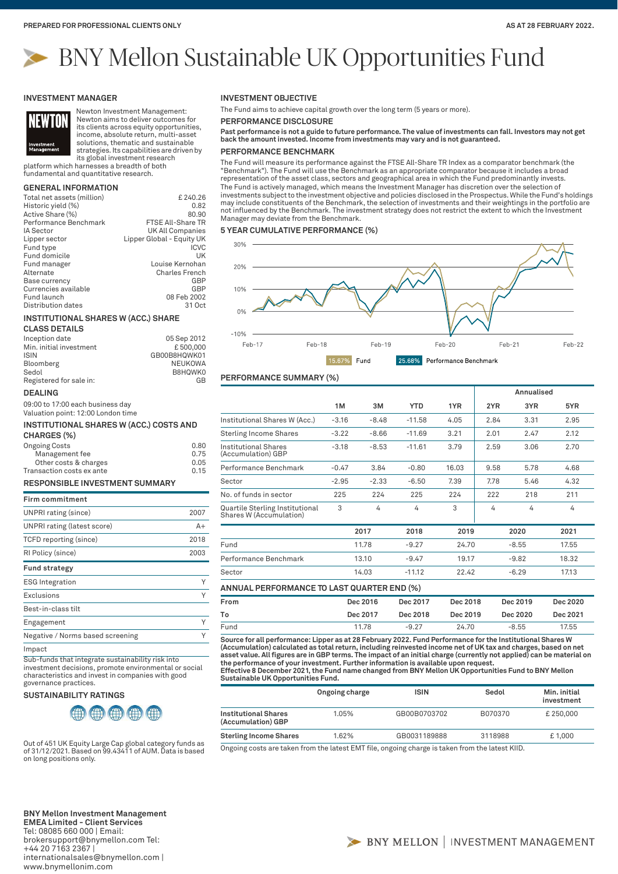# BNY Mellon Sustainable UK Opportunities Fund

#### **INVESTMENT MANAGER**



Newton Investment Management: Newton aims to deliver outcomes for its clients across equity opportunities, income, absolute return, multi-asset solutions, thematic and sustainable

strategies. Its capabilities are driven by its global investment research platform which harnesses a breadth of both

fundamental and quantitative research.

## **GENERAL INFORMATION**

| Total net assets (million) | £240.26                   |
|----------------------------|---------------------------|
| Historic yield (%)         | 0.82                      |
| Active Share (%)           | 80.90                     |
| Performance Benchmark      | <b>FTSE All-Share TR</b>  |
| <b>IA Sector</b>           | UK All Companies          |
| Lipper sector              | Lipper Global - Equity UK |
| Fund type                  | ICVC                      |
| Fund domicile              | UK                        |
| Fund manager               | Louise Kernohan           |
| Alternate                  | <b>Charles French</b>     |
| Base currency              | GBP                       |
| Currencies available       | GBP                       |
| Fund launch                | 08 Feb 2002               |
| Distribution dates         | 31 Oct                    |

#### **INSTITUTIONAL SHARES W (ACC.) SHARE**

#### **CLASS DETAILS**

| Inception date          | 05 Sep 2012  |
|-------------------------|--------------|
| Min. initial investment | £500.000     |
| <b>ISIN</b>             | GB00B8HQWK01 |
| Bloomberg               | NEUKOWA      |
| Sedol                   | B8HOWK0      |
| Registered for sale in: | GB           |

#### **DEALING**

09:00 to 17:00 each business day Valuation point: 12:00 London time

# **INSTITUTIONAL SHARES W (ACC.) COSTS AND**

| CHARGES (%)               |      |
|---------------------------|------|
| <b>Ongoing Costs</b>      | 0.80 |
| Management fee            | 0.75 |
| Other costs & charges     | 0.05 |
| Transaction costs ex ante | 0.15 |

## **RESPONSIBLE INVESTMENT SUMMARY**

| <b>Firm commitment</b>           |      |
|----------------------------------|------|
| UNPRI rating (since)             | 2007 |
| UNPRI rating (latest score)      | $A+$ |
| TCFD reporting (since)           | 2018 |
| RI Policy (since)                | 2003 |
| <b>Fund strategy</b>             |      |
| <b>ESG</b> Integration           |      |
| Exclusions                       | Υ    |
| Best-in-class tilt               |      |
| Engagement                       | Υ    |
| Negative / Norms based screening |      |
| . .                              |      |

Impact

Sub-funds that integrate sustainability risk into investment decisions, promote environmental or social characteristics and invest in companies with good governance practices.

**SUSTAINABILITY RATINGS**



Out of 451 UK Equity Large Cap global category funds as of 31/12/2021. Based on 99.43411 of AUM. Data is based on long positions only.

**BNY Mellon Investment Management EMEA Limited - Client Services** Tel: 08085 660 000 | Email: brokersupport@bnymellon.com Tel: +44 20 7163 2367 | internationalsales@bnymellon.com | www.bnymellonim.com

## **INVESTMENT OBJECTIVE**

The Fund aims to achieve capital growth over the long term (5 years or more).

**PERFORMANCE DISCLOSURE**

**Past performance is not a guide to future performance. The value of investments can fall. Investors may not get back the amount invested. Income from investments may vary and is not guaranteed.**

## **PERFORMANCE BENCHMARK**

The Fund will measure its performance against the FTSE All-Share TR Index as a comparator benchmark (the "Benchmark"). The Fund will use the Benchmark as an appropriate comparator because it includes a broad representation of the asset class, sectors and geographical area in which the Fund predominantly invests. The Fund is actively managed, which means the Investment Manager has discretion over the selection of investments subject to the investment objective and policies disclosed in the Prospectus. While the Fund's holdings may include constituents of the Benchmark, the selection of investments and their weightings in the portfolio are not influenced by the Benchmark. The investment strategy does not restrict the extent to which the Investment Manager may deviate from the Benchmark.

#### **5 YEAR CUMULATIVE PERFORMANCE (%)**



## **PERFORMANCE SUMMARY (%)**

|                                                            |         |          |            |          |      | Annualised |          |
|------------------------------------------------------------|---------|----------|------------|----------|------|------------|----------|
|                                                            | 1M      | 3M       | <b>YTD</b> | 1YR      | 2YR  | 3YR        | 5YR      |
| Institutional Shares W (Acc.)                              | $-3.16$ | $-8.48$  | $-11.58$   | 4.05     | 2.84 | 3.31       | 2.95     |
| <b>Sterling Income Shares</b>                              | $-3.22$ | $-8.66$  | $-11.69$   | 3.21     | 2.01 | 2.47       | 2.12     |
| Institutional Shares<br>(Accumulation) GBP                 | $-3.18$ | $-8.53$  | $-11.61$   | 3.79     | 2.59 | 3.06       | 2.70     |
| Performance Benchmark                                      | $-0.47$ | 3.84     | $-0.80$    | 16.03    | 9.58 | 5.78       | 4.68     |
| Sector                                                     | $-2.95$ | $-2.33$  | $-6.50$    | 7.39     | 7.78 | 5.46       | 4.32     |
| No. of funds in sector                                     | 225     | 224      | 225        | 224      | 222  | 218        | 211      |
| Quartile Sterling Institutional<br>Shares W (Accumulation) | 3       | 4        | 4          | 3        | 4    | 4          | 4        |
|                                                            |         | 2017     | 2018       | 2019     |      | 2020       | 2021     |
| Fund                                                       |         | 11.78    | $-9.27$    | 24.70    |      | $-8.55$    | 17.55    |
| Performance Benchmark                                      |         | 13.10    | $-9.47$    | 19.17    |      | $-9.82$    | 18.32    |
| Sector                                                     |         | 14.03    | $-11.12$   | 22.42    |      | $-6.29$    | 17.13    |
| ANNUAL PERFORMANCE TO LAST QUARTER END (%)                 |         |          |            |          |      |            |          |
| From                                                       |         | Dec 2016 | Dec 2017   | Dec 2018 |      | Dec 2019   | Dec 2020 |

**To Dec 2017 Dec 2018 Dec 2019 Dec 2020 Dec 2021** Fund 11.78 -9.27 24.70 -8.55 17.55

**Source for all performance: Lipper as at 28 February 2022. Fund Performance for the Institutional Shares W (Accumulation) calculated as total return, including reinvested income net of UK tax and charges, based on net asset value. All figures are in GBP terms. The impact of an initial charge (currently not applied) can be material on the performance of your investment. Further information is available upon request. Effective 8 December 2021, the Fund name changed from BNY Mellon UK Opportunities Fund to BNY Mellon Sustainable UK Opportunities Fund.**

|                                                   | Ongoing charge | <b>ISIN</b>  | Sedol   | Min. initial<br>investment |
|---------------------------------------------------|----------------|--------------|---------|----------------------------|
| <b>Institutional Shares</b><br>(Accumulation) GBP | 1.05%          | GB00B0703702 | B070370 | £250,000                   |
| <b>Sterling Income Shares</b>                     | 1.62%          | GB0031189888 | 3118988 | £1.000                     |

Ongoing costs are taken from the latest EMT file, ongoing charge is taken from the latest KIID.